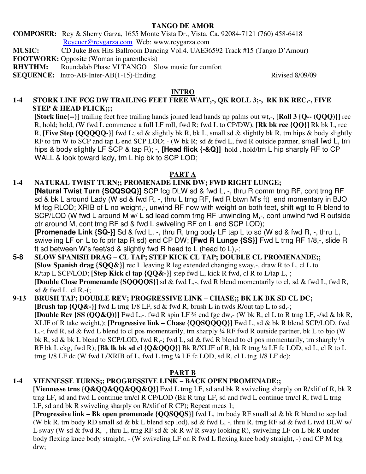#### **TANGO DE AMOR**

**COMPOSER:** Rey & Sherry Garza, 1655 Monte Vista Dr., Vista, Ca. 92084-7121 (760) 458-6418 Reycuer@reygarza.com Web: www.reygarza.com

**MUSIC:** CD Juke Box Hits Ballroom Dancing Vol.4. UAE36592 Track #15 (Tango D'Amour)

**FOOTWORK:** Opposite (Woman in parenthesis)

**RHYTHM:** Roundalab Phase VI TANGO Slow music for comfort

**SEQUENCE:** Intro-AB-Inter-AB(1-15)-Ending Rivised 8/09/09

### **INTRO**

# **1-4 STORK LINE FCG DW TRAILING FEET FREE WAIT,-, QK ROLL 3;-, RK BK REC,-, FIVE STEP & HEAD FLICK;;;**

**[Stork line{--}]** trailing feet free trailing hands joined lead hands up palms out wt,-, **[Roll 3 {Q-- (QQQ)}]** rec R, hold; hold, (W fwd L commence a full LF roll, fwd R; fwd L to CP/DW), **[Rk bk rec {QQ}]** Rk bk L, rec R, **[Five Step {QQQQQ-}]** fwd L; sd & slightly bk R, bk L, small sd & slightly bk R, trn hips & body slightly RF to trn W to SCP and tap L end SCP LOD; - (W bk R; sd & fwd L, fwd R outside partner, small fwd L, trn hips & body slightly LF SCP & tap R); -, **[Head flick {-&Q}]** hold , hold/trn L hip sharply RF to CP WALL & look toward lady, trn L hip bk to SCP LOD;

## **PART A**

# **1-4 NATURAL TWIST TURN;; PROMENADE LINK DW; FWD RIGHT LUNGE;**

**[Natural Twist Turn {SQQSQQ}]** SCP fcg DLW sd & fwd L, -, thru R comm trng RF, cont trng RF sd & bk L around Lady (W sd & fwd R, -, thru L trng RF, fwd R btwn M's ft) end momentary in BJO M fcg RLOD; XRIB of L no weight,-, unwind RF now with weight on both feet, shift wgt to R blend to SCP/LOD (W fwd L around M w/ L sd lead comm trng RF unwinding M,-, cont unwind fwd R outside ptr around M, cont trng RF sd & fwd L swiveling RF on L end SCP LOD);

 **[Promenade Link {SQ-}]** Sd & fwd L, -, thru R, trng body LF tap L to sd (W sd & fwd R, -, thru L, swiveling LF on L to fc ptr tap R sd) end CP DW; **[Fwd R Lunge {SS}]** Fwd L trng RF 1/8,-, slide R ft sd between W's feet/sd & slightly fwd R head to L (head to  $L$ ),-;

### **5-8 SLOW SPANISH DRAG – CL TAP; STEP KICK CL TAP; DOUBLE CL PROMENANDE;; [Slow Spanish drag {SQQ&}]** rec L leaving R leg extended changing sway,-, draw R to L, cl L to R/tap L SCP/LOD; **[Step Kick cl tap {QQ&-}]** step fwd L, kick R fwd, cl R to L/tap L,-; [**Double Close Promenande {SQQQQS}]** sd & fwd L,-, fwd R blend momentarily to cl, sd & fwd L, fwd R, sd & fwd L. cl R,-(;

### **9-13 BRUSH TAP; DOUBLE REV; PROGRESSIVE LINK – CHASE;; BK LK BK SD CL DC; [Brush tap {QQ&-}]** fwd L trng 1/8 LF, sd & fwd R, brush L in twds R/out tap L to sd,-; **[Double Rev {SS (QQ&Q)}]** Fwd L,-. fwd R spin LF  $\frac{3}{4}$  end fgc dw,- (W bk R, cl L to R trng LF,  $\frac{1}{5}$  /sd & bk R, XLIF of R take weight,); **[Progressive link – Chase {QQSQQQQ}]** Fwd L, sd & bk R blend SCP/LOD, fwd L,-; fwd R, sd & fwd L blend to cl pos momentarily, trn sharply ¼ RF fwd R outside partner, bk L to bjo (W bk R, sd & bk L blend to SCP/LOD, fwd R,-; fwd L, sd & fwd R blend to cl pos momentarily, trn sharply  $\frac{1}{4}$ RF bk L ckg, fwd R); **[Bk lk bk sd cl {Q&QQQ}**] Bk R/XLIF of R, bk R trng ¼ LF fc LOD, sd L, cl R to L trng 1/8 LF dc (W fwd L/XRIB of L, fwd L trng ¼ LF fc LOD, sd R, cl L tng 1/8 LF dc);

## **PART B**

## **1-4 VIENNESSE TURNS;; PROGRESSIVE LINK – BACK OPEN PROMENADE;;**

**[Viennesse trns {Q&QQ&QQ&QQ&Q}]** Fwd L trng LF, sd and bk R swiveling sharply on R/xlif of R, bk R trng LF, sd and fwd L continue trn/cl R CP/LOD (Bk R trng LF, sd and fwd L continue trn/cl R, fwd L trng LF, sd and bk R swiveling sharply on R/xlif of R CP); Repeat meas 1;

**[Progressive link – Bk open promenade {QQSQQS}]** fwd L, trn body RF small sd & bk R blend to scp lod (W bk R, trn body RD small sd & bk L blend scp lod), sd & fwd L, -, thru R, trng RF sd & fwd L twd DLW w/ L sway (W sd & fwd R, -, thru L, trng RF sd & bk R w/ R sway looking R), swiveling LF on L bk R under body flexing knee body straight, - (W swiveling LF on R fwd L flexing knee body straight, -) end CP M fcg drw;